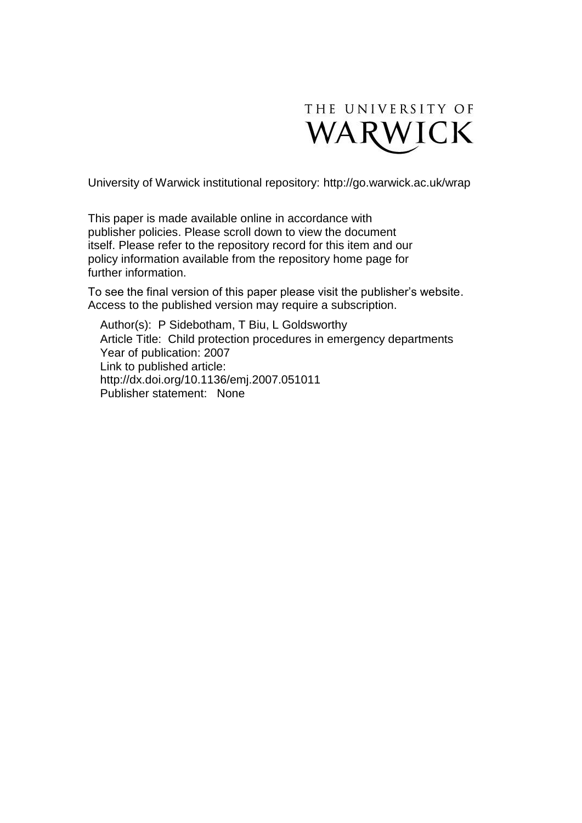

University of Warwick institutional repository:<http://go.warwick.ac.uk/wrap>

This paper is made available online in accordance with publisher policies. Please scroll down to view the document itself. Please refer to the repository record for this item and our policy information available from the repository home page for further information.

To see the final version of this paper please visit the publisher's website. Access to the published version may require a subscription.

Author(s): P Sidebotham, T Biu, L Goldsworthy Article Title: Child protection procedures in emergency departments Year of publication: 2007 Link to published article: http://dx.doi.org/10.1136/emj.2007.051011 Publisher statement: Non[e](http://www.oxfordjournals.org/our_journals/nar/terms.html)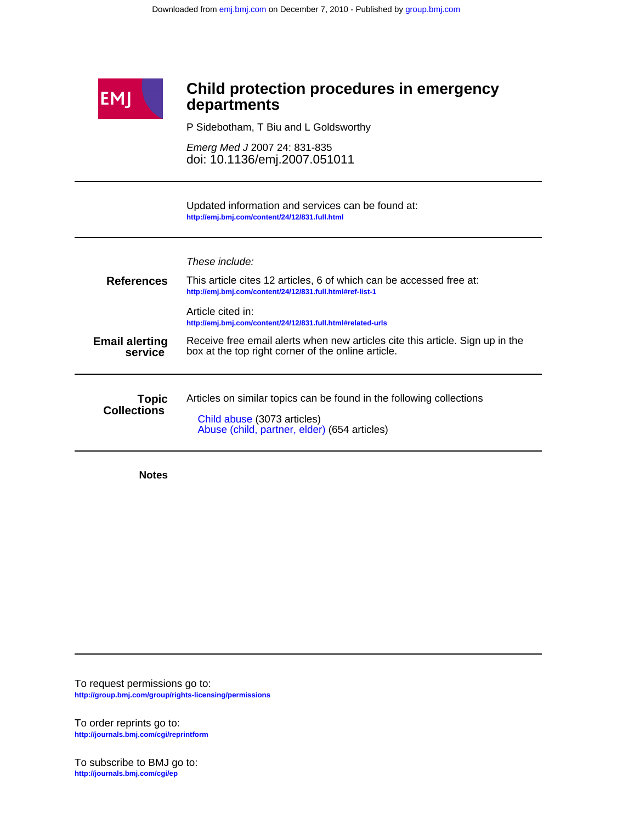

# **departments Child protection procedures in emergency**

P Sidebotham, T Biu and L Goldsworthy

doi: 10.1136/emj.2007.051011 Emerg Med J 2007 24: 831-835

**<http://emj.bmj.com/content/24/12/831.full.html>** Updated information and services can be found at:

|                                  | These include:                                                                                                                                      |
|----------------------------------|-----------------------------------------------------------------------------------------------------------------------------------------------------|
| <b>References</b>                | This article cites 12 articles, 6 of which can be accessed free at:<br>http://emj.bmj.com/content/24/12/831.full.html#ref-list-1                    |
|                                  | Article cited in:<br>http://emj.bmj.com/content/24/12/831.full.html#related-urls                                                                    |
| <b>Email alerting</b><br>service | Receive free email alerts when new articles cite this article. Sign up in the<br>box at the top right corner of the online article.                 |
| Topic<br><b>Collections</b>      | Articles on similar topics can be found in the following collections<br>Child abuse (3073 articles)<br>Abuse (child, partner, elder) (654 articles) |

**Notes**

**<http://group.bmj.com/group/rights-licensing/permissions>** To request permissions go to:

**<http://journals.bmj.com/cgi/reprintform>** To order reprints go to:

**<http://journals.bmj.com/cgi/ep>** To subscribe to BMJ go to: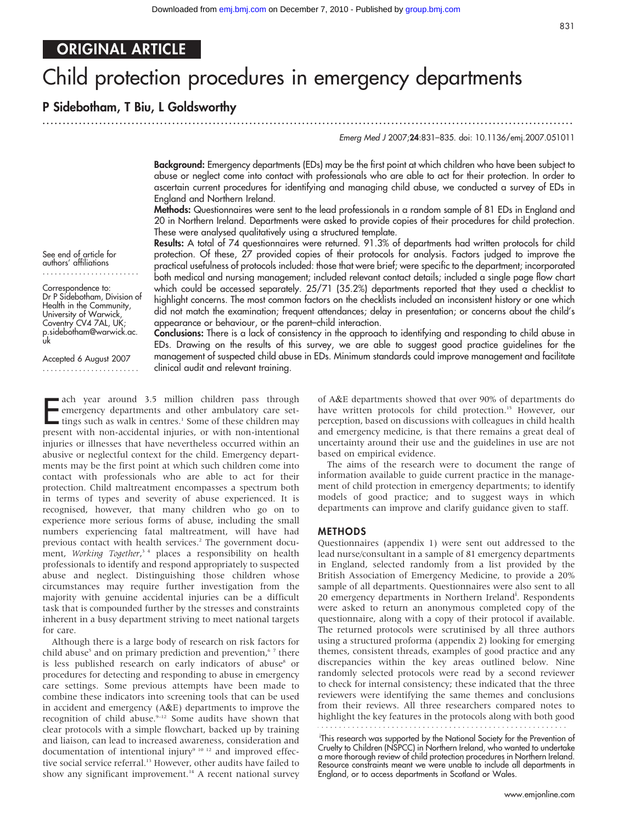# ORIGINAL ARTICLE

# Child protection procedures in emergency departments

# P Sidebotham, T Biu, L Goldsworthy

...................................................................................................................................

Emerg Med J 2007;24:831–835. doi: 10.1136/emj.2007.051011

Background: Emergency departments (EDs) may be the first point at which children who have been subject to abuse or neglect come into contact with professionals who are able to act for their protection. In order to ascertain current procedures for identifying and managing child abuse, we conducted a survey of EDs in England and Northern Ireland.

Methods: Questionnaires were sent to the lead professionals in a random sample of 81 EDs in England and 20 in Northern Ireland. Departments were asked to provide copies of their procedures for child protection. These were analysed qualitatively using a structured template.

Results: A total of 74 questionnaires were returned. 91.3% of departments had written protocols for child protection. Of these, 27 provided copies of their protocols for analysis. Factors judged to improve the practical usefulness of protocols included: those that were brief; were specific to the department; incorporated both medical and nursing management; included relevant contact details; included a single page flow chart which could be accessed separately. 25/71 (35.2%) departments reported that they used a checklist to highlight concerns. The most common factors on the checklists included an inconsistent history or one which did not match the examination; frequent attendances; delay in presentation; or concerns about the child's appearance or behaviour, or the parent–child interaction.

Conclusions: There is a lack of consistency in the approach to identifying and responding to child abuse in EDs. Drawing on the results of this survey, we are able to suggest good practice guidelines for the management of suspected child abuse in EDs. Minimum standards could improve management and facilitate clinical audit and relevant training.

E ach year around 3.5 million children pass through<br>emergency departments and other ambulatory care set-<br>tings such as walk in centres.<sup>1</sup> Some of these children may<br>present with non-accidental injuries, or with non-intent ach year around 3.5 million children pass through emergency departments and other ambulatory care set- $=$  tings such as walk in centres.<sup>1</sup> Some of these children may injuries or illnesses that have nevertheless occurred within an abusive or neglectful context for the child. Emergency departments may be the first point at which such children come into contact with professionals who are able to act for their protection. Child maltreatment encompasses a spectrum both in terms of types and severity of abuse experienced. It is recognised, however, that many children who go on to experience more serious forms of abuse, including the small numbers experiencing fatal maltreatment, will have had previous contact with health services.<sup>2</sup> The government document, Working Together,<sup>34</sup> places a responsibility on health professionals to identify and respond appropriately to suspected abuse and neglect. Distinguishing those children whose circumstances may require further investigation from the majority with genuine accidental injuries can be a difficult task that is compounded further by the stresses and constraints inherent in a busy department striving to meet national targets for care.

Although there is a large body of research on risk factors for child abuse<sup>5</sup> and on primary prediction and prevention,<sup>67</sup> there is less published research on early indicators of abuse<sup>8</sup> or procedures for detecting and responding to abuse in emergency care settings. Some previous attempts have been made to combine these indicators into screening tools that can be used in accident and emergency (A&E) departments to improve the recognition of child abuse.<sup>9-12</sup> Some audits have shown that clear protocols with a simple flowchart, backed up by training and liaison, can lead to increased awareness, consideration and documentation of intentional injury $9^{10}$  12 and improved effective social service referral.<sup>13</sup> However, other audits have failed to show any significant improvement.<sup>14</sup> A recent national survey of A&E departments showed that over 90% of departments do have written protocols for child protection.<sup>15</sup> However, our perception, based on discussions with colleagues in child health and emergency medicine, is that there remains a great deal of uncertainty around their use and the guidelines in use are not based on empirical evidence.

The aims of the research were to document the range of information available to guide current practice in the management of child protection in emergency departments; to identify models of good practice; and to suggest ways in which departments can improve and clarify guidance given to staff.

#### METHODS

Questionnaires (appendix 1) were sent out addressed to the lead nurse/consultant in a sample of 81 emergency departments in England, selected randomly from a list provided by the British Association of Emergency Medicine, to provide a 20% sample of all departments. Questionnaires were also sent to all 20 emergency departments in Northern Ireland<sup>i</sup>. Respondents were asked to return an anonymous completed copy of the questionnaire, along with a copy of their protocol if available. The returned protocols were scrutinised by all three authors using a structured proforma (appendix 2) looking for emerging themes, consistent threads, examples of good practice and any discrepancies within the key areas outlined below. Nine randomly selected protocols were read by a second reviewer to check for internal consistency; these indicated that the three reviewers were identifying the same themes and conclusions from their reviews. All three researchers compared notes to highlight the key features in the protocols along with both good 

This research was supported by the National Society for the Prevention of Cruelty to Children (NSPCC) in Northern Ireland, who wanted to undertake a more thorough review of child protection procedures in Northern Ireland. Resource constraints meant we were unable to include all departments in England, or to access departments in Scotland or Wales.

See end of article for authors' affiliations ........................

Correspondence to: Dr P Sidebotham, Division of Health in the Community, University of Warwick,<br>Coventry CV4 7AL, UK; Coventry CV4 7AL, UK; p.sidebotham@warwick.ac. uk

Accepted 6 August 2007 ........................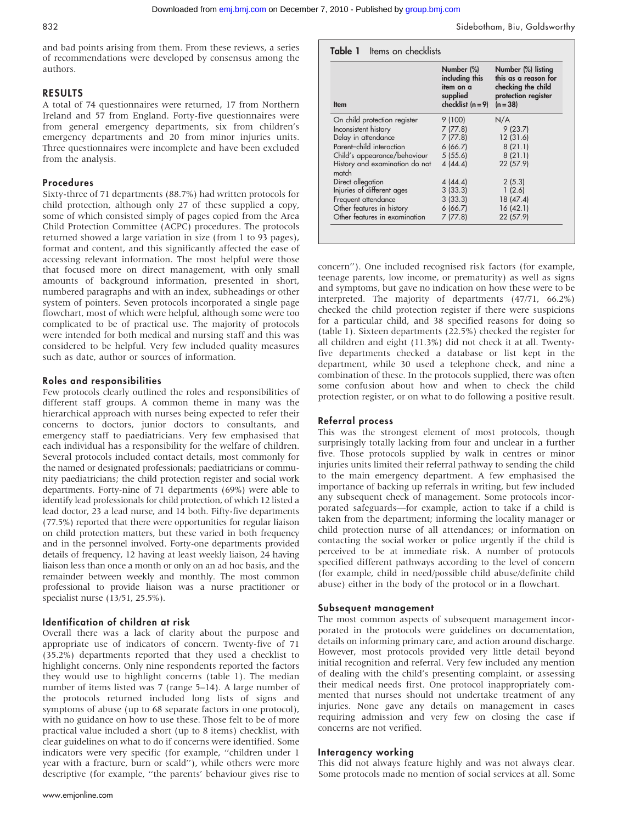and bad points arising from them. From these reviews, a series of recommendations were developed by consensus among the authors.

## RESULTS

A total of 74 questionnaires were returned, 17 from Northern Ireland and 57 from England. Forty-five questionnaires were from general emergency departments, six from children's emergency departments and 20 from minor injuries units. Three questionnaires were incomplete and have been excluded from the analysis.

#### Procedures

Sixty-three of 71 departments (88.7%) had written protocols for child protection, although only 27 of these supplied a copy, some of which consisted simply of pages copied from the Area Child Protection Committee (ACPC) procedures. The protocols returned showed a large variation in size (from 1 to 93 pages), format and content, and this significantly affected the ease of accessing relevant information. The most helpful were those that focused more on direct management, with only small amounts of background information, presented in short, numbered paragraphs and with an index, subheadings or other system of pointers. Seven protocols incorporated a single page flowchart, most of which were helpful, although some were too complicated to be of practical use. The majority of protocols were intended for both medical and nursing staff and this was considered to be helpful. Very few included quality measures such as date, author or sources of information.

#### Roles and responsibilities

Few protocols clearly outlined the roles and responsibilities of different staff groups. A common theme in many was the hierarchical approach with nurses being expected to refer their concerns to doctors, junior doctors to consultants, and emergency staff to paediatricians. Very few emphasised that each individual has a responsibility for the welfare of children. Several protocols included contact details, most commonly for the named or designated professionals; paediatricians or community paediatricians; the child protection register and social work departments. Forty-nine of 71 departments (69%) were able to identify lead professionals for child protection, of which 12 listed a lead doctor, 23 a lead nurse, and 14 both. Fifty-five departments (77.5%) reported that there were opportunities for regular liaison on child protection matters, but these varied in both frequency and in the personnel involved. Forty-one departments provided details of frequency, 12 having at least weekly liaison, 24 having liaison less than once a month or only on an ad hoc basis, and the remainder between weekly and monthly. The most common professional to provide liaison was a nurse practitioner or specialist nurse (13/51, 25.5%).

#### Identification of children at risk

Overall there was a lack of clarity about the purpose and appropriate use of indicators of concern. Twenty-five of 71 (35.2%) departments reported that they used a checklist to highlight concerns. Only nine respondents reported the factors they would use to highlight concerns (table 1). The median number of items listed was 7 (range 5–14). A large number of the protocols returned included long lists of signs and symptoms of abuse (up to 68 separate factors in one protocol), with no guidance on how to use these. Those felt to be of more practical value included a short (up to 8 items) checklist, with clear guidelines on what to do if concerns were identified. Some indicators were very specific (for example, ''children under 1 year with a fracture, burn or scald''), while others were more descriptive (for example, ''the parents' behaviour gives rise to

| <b>Item</b>                             | Number (%)<br>including this<br>item on a<br>supplied<br>checklist $(n = 9)$ | Number (%) listing<br>this as a reason for<br>checking the child<br>protection register<br>$(n = 38)$ |
|-----------------------------------------|------------------------------------------------------------------------------|-------------------------------------------------------------------------------------------------------|
| On child protection register            | 9(100)                                                                       | N/A                                                                                                   |
| Inconsistent history                    | 7(77.8)                                                                      | 9(23.7)                                                                                               |
| Delay in attendance                     | 7(77.8)                                                                      | 12 (31.6)                                                                                             |
| Parent-child interaction                | 6(66.7)                                                                      | 8(21.1)                                                                                               |
| Child's appearance/behaviour            | 5(55.6)                                                                      | 8(21.1)                                                                                               |
| History and examination do not<br>match | 4(44.4)                                                                      | 22 (57.9)                                                                                             |
| Direct allegation                       | 4(44.4)                                                                      | 2(5.3)                                                                                                |
| Injuries of different ages              | 3(33.3)                                                                      | 1(2.6)                                                                                                |
| Frequent attendance                     | 3(33.3)                                                                      | 18(47.4)                                                                                              |
| Other features in history               | 6(66.7)                                                                      | 16(42.1)                                                                                              |
| Other features in examination           | 7(77.8)                                                                      | 22 (57.9)                                                                                             |

concern''). One included recognised risk factors (for example, teenage parents, low income, or prematurity) as well as signs and symptoms, but gave no indication on how these were to be interpreted. The majority of departments (47/71, 66.2%) checked the child protection register if there were suspicions for a particular child, and 38 specified reasons for doing so (table 1). Sixteen departments (22.5%) checked the register for all children and eight (11.3%) did not check it at all. Twentyfive departments checked a database or list kept in the department, while 30 used a telephone check, and nine a combination of these. In the protocols supplied, there was often some confusion about how and when to check the child protection register, or on what to do following a positive result.

#### Referral process

This was the strongest element of most protocols, though surprisingly totally lacking from four and unclear in a further five. Those protocols supplied by walk in centres or minor injuries units limited their referral pathway to sending the child to the main emergency department. A few emphasised the importance of backing up referrals in writing, but few included any subsequent check of management. Some protocols incorporated safeguards—for example, action to take if a child is taken from the department; informing the locality manager or child protection nurse of all attendances; or information on contacting the social worker or police urgently if the child is perceived to be at immediate risk. A number of protocols specified different pathways according to the level of concern (for example, child in need/possible child abuse/definite child abuse) either in the body of the protocol or in a flowchart.

#### Subsequent management

The most common aspects of subsequent management incorporated in the protocols were guidelines on documentation, details on informing primary care, and action around discharge. However, most protocols provided very little detail beyond initial recognition and referral. Very few included any mention of dealing with the child's presenting complaint, or assessing their medical needs first. One protocol inappropriately commented that nurses should not undertake treatment of any injuries. None gave any details on management in cases requiring admission and very few on closing the case if concerns are not verified.

#### Interagency working

This did not always feature highly and was not always clear. Some protocols made no mention of social services at all. Some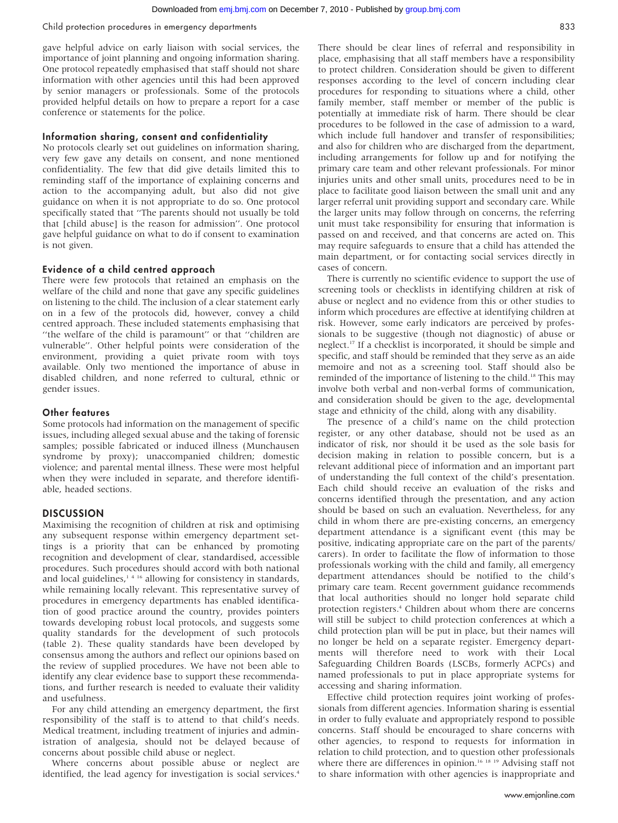#### Child protection procedures in emergency departments 833

gave helpful advice on early liaison with social services, the importance of joint planning and ongoing information sharing. One protocol repeatedly emphasised that staff should not share information with other agencies until this had been approved by senior managers or professionals. Some of the protocols provided helpful details on how to prepare a report for a case conference or statements for the police.

### Information sharing, consent and confidentiality

No protocols clearly set out guidelines on information sharing, very few gave any details on consent, and none mentioned confidentiality. The few that did give details limited this to reminding staff of the importance of explaining concerns and action to the accompanying adult, but also did not give guidance on when it is not appropriate to do so. One protocol specifically stated that ''The parents should not usually be told that [child abuse] is the reason for admission''. One protocol gave helpful guidance on what to do if consent to examination is not given.

## Evidence of a child centred approach

There were few protocols that retained an emphasis on the welfare of the child and none that gave any specific guidelines on listening to the child. The inclusion of a clear statement early on in a few of the protocols did, however, convey a child centred approach. These included statements emphasising that ''the welfare of the child is paramount'' or that ''children are vulnerable''. Other helpful points were consideration of the environment, providing a quiet private room with toys available. Only two mentioned the importance of abuse in disabled children, and none referred to cultural, ethnic or gender issues.

#### Other features

Some protocols had information on the management of specific issues, including alleged sexual abuse and the taking of forensic samples; possible fabricated or induced illness (Munchausen syndrome by proxy); unaccompanied children; domestic violence; and parental mental illness. These were most helpful when they were included in separate, and therefore identifiable, headed sections.

### **DISCUSSION**

Maximising the recognition of children at risk and optimising any subsequent response within emergency department settings is a priority that can be enhanced by promoting recognition and development of clear, standardised, accessible procedures. Such procedures should accord with both national and local guidelines,<sup>14 16</sup> allowing for consistency in standards, while remaining locally relevant. This representative survey of procedures in emergency departments has enabled identification of good practice around the country, provides pointers towards developing robust local protocols, and suggests some quality standards for the development of such protocols (table 2). These quality standards have been developed by consensus among the authors and reflect our opinions based on the review of supplied procedures. We have not been able to identify any clear evidence base to support these recommendations, and further research is needed to evaluate their validity and usefulness.

For any child attending an emergency department, the first responsibility of the staff is to attend to that child's needs. Medical treatment, including treatment of injuries and administration of analgesia, should not be delayed because of concerns about possible child abuse or neglect.

Where concerns about possible abuse or neglect are identified, the lead agency for investigation is social services.<sup>4</sup>

There should be clear lines of referral and responsibility in place, emphasising that all staff members have a responsibility to protect children. Consideration should be given to different responses according to the level of concern including clear procedures for responding to situations where a child, other family member, staff member or member of the public is potentially at immediate risk of harm. There should be clear procedures to be followed in the case of admission to a ward, which include full handover and transfer of responsibilities; and also for children who are discharged from the department, including arrangements for follow up and for notifying the primary care team and other relevant professionals. For minor injuries units and other small units, procedures need to be in place to facilitate good liaison between the small unit and any larger referral unit providing support and secondary care. While the larger units may follow through on concerns, the referring unit must take responsibility for ensuring that information is passed on and received, and that concerns are acted on. This may require safeguards to ensure that a child has attended the main department, or for contacting social services directly in cases of concern.

There is currently no scientific evidence to support the use of screening tools or checklists in identifying children at risk of abuse or neglect and no evidence from this or other studies to inform which procedures are effective at identifying children at risk. However, some early indicators are perceived by professionals to be suggestive (though not diagnostic) of abuse or neglect.17 If a checklist is incorporated, it should be simple and specific, and staff should be reminded that they serve as an aide memoire and not as a screening tool. Staff should also be reminded of the importance of listening to the child.<sup>18</sup> This may involve both verbal and non-verbal forms of communication, and consideration should be given to the age, developmental stage and ethnicity of the child, along with any disability.

The presence of a child's name on the child protection register, or any other database, should not be used as an indicator of risk, nor should it be used as the sole basis for decision making in relation to possible concern, but is a relevant additional piece of information and an important part of understanding the full context of the child's presentation. Each child should receive an evaluation of the risks and concerns identified through the presentation, and any action should be based on such an evaluation. Nevertheless, for any child in whom there are pre-existing concerns, an emergency department attendance is a significant event (this may be positive, indicating appropriate care on the part of the parents/ carers). In order to facilitate the flow of information to those professionals working with the child and family, all emergency department attendances should be notified to the child's primary care team. Recent government guidance recommends that local authorities should no longer hold separate child protection registers.4 Children about whom there are concerns will still be subject to child protection conferences at which a child protection plan will be put in place, but their names will no longer be held on a separate register. Emergency departments will therefore need to work with their Local Safeguarding Children Boards (LSCBs, formerly ACPCs) and named professionals to put in place appropriate systems for accessing and sharing information.

Effective child protection requires joint working of professionals from different agencies. Information sharing is essential in order to fully evaluate and appropriately respond to possible concerns. Staff should be encouraged to share concerns with other agencies, to respond to requests for information in relation to child protection, and to question other professionals where there are differences in opinion.<sup>16 18 19</sup> Advising staff not to share information with other agencies is inappropriate and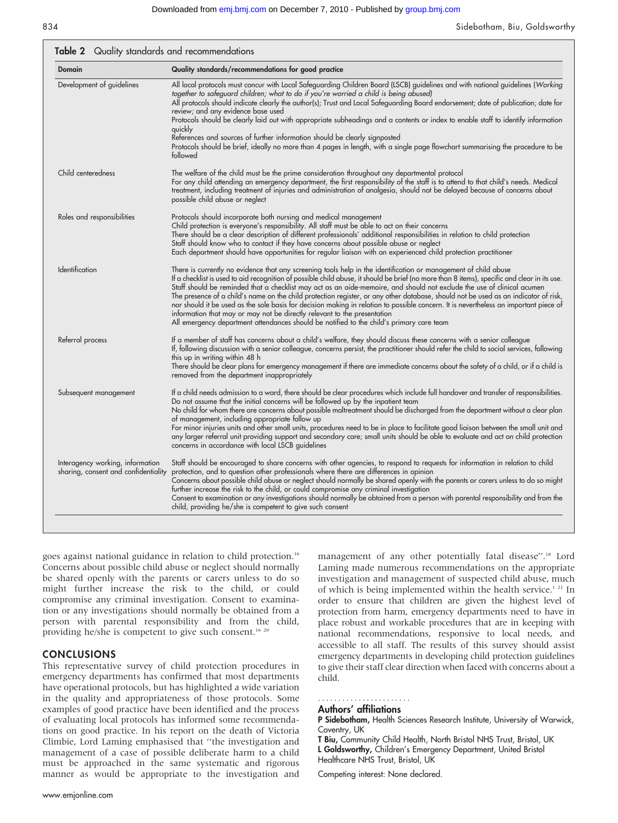| Domain                                                                   | Quality standards/recommendations for good practice                                                                                                                                                                                                                                                                                                                                                                                                                                                                                                                                                                                                                                                                                                                                                                                                |
|--------------------------------------------------------------------------|----------------------------------------------------------------------------------------------------------------------------------------------------------------------------------------------------------------------------------------------------------------------------------------------------------------------------------------------------------------------------------------------------------------------------------------------------------------------------------------------------------------------------------------------------------------------------------------------------------------------------------------------------------------------------------------------------------------------------------------------------------------------------------------------------------------------------------------------------|
| Development of guidelines                                                | All local protocols must concur with Local Safeguarding Children Board (LSCB) guidelines and with national guidelines (Working<br>together to safeguard children; what to do if you're worried a child is being abused)<br>All protocols should indicate clearly the author(s); Trust and Local Safeguarding Board endorsement; date of publication; date for<br>review; and any evidence base used<br>Protocols should be clearly laid out with appropriate subheadings and a contents or index to enable staff to identify information<br>quickly<br>References and sources of further information should be clearly signposted<br>Protocols should be brief, ideally no more than 4 pages in length, with a single page flowchart summarising the procedure to be<br>followed                                                                   |
| Child centeredness                                                       | The welfare of the child must be the prime consideration throughout any departmental protocol<br>For any child attending an emergency department, the first responsibility of the staff is to attend to that child's needs. Medical<br>treatment, including treatment of injuries and administration of analgesia, should not be delayed because of concerns about<br>possible child abuse or neglect                                                                                                                                                                                                                                                                                                                                                                                                                                              |
| Roles and responsibilities                                               | Protocols should incorporate both nursing and medical management<br>Child protection is everyone's responsibility. All staff must be able to act on their concerns<br>There should be a clear description of different professionals' additional responsibilities in relation to child protection<br>Staff should know who to contact if they have concerns about possible abuse or neglect<br>Each department should have opportunities for regular liaison with an experienced child protection practitioner                                                                                                                                                                                                                                                                                                                                     |
| Identification                                                           | There is currently no evidence that any screening tools help in the identification or management of child abuse<br>If a checklist is used to aid recognition of possible child abuse, it should be brief (no more than 8 items), specific and clear in its use.<br>Staff should be reminded that a checklist may act as an aide-memoire, and should not exclude the use of clinical acumen<br>The presence of a child's name on the child protection register, or any other database, should not be used as an indicator of risk,<br>nor should it be used as the sole basis for decision making in relation to possible concern. It is nevertheless an important piece of<br>information that may or may not be directly relevant to the presentation<br>All emergency department attendances should be notified to the child's primary care team |
| Referral process                                                         | If a member of staff has concerns about a child's welfare, they should discuss these concerns with a senior colleague<br>If, following discussion with a senior colleague, concerns persist, the practitioner should refer the child to social services, following<br>this up in writing within 48 h<br>There should be clear plans for emergency management if there are immediate concerns about the safety of a child, or if a child is<br>removed from the department inappropriately                                                                                                                                                                                                                                                                                                                                                          |
| Subsequent management                                                    | If a child needs admission to a ward, there should be clear procedures which include full handover and transfer of responsibilities.<br>Do not assume that the initial concerns will be followed up by the inpatient team<br>No child for whom there are concerns about possible maltreatment should be discharged from the department without a clear plan<br>of management, including appropriate follow up<br>For minor injuries units and other small units, procedures need to be in place to facilitate good liaison between the small unit and<br>any larger referral unit providing support and secondary care; small units should be able to evaluate and act on child protection<br>concerns in accordance with local LSCB guidelines                                                                                                    |
| Interagency working, information<br>sharing, consent and confidentiality | Staff should be encouraged to share concerns with other agencies, to respond to requests for information in relation to child<br>protection, and to question other professionals where there are differences in opinion<br>Concerns about possible child abuse or neglect should normally be shared openly with the parents or carers unless to do so might<br>further increase the risk to the child, or could compromise any criminal investigation<br>Consent to examination or any investigations should normally be obtained from a person with parental responsibility and from the<br>child, providing he/she is competent to give such consent                                                                                                                                                                                             |

goes against national guidance in relation to child protection.16 Concerns about possible child abuse or neglect should normally be shared openly with the parents or carers unless to do so might further increase the risk to the child, or could compromise any criminal investigation. Consent to examination or any investigations should normally be obtained from a person with parental responsibility and from the child, providing he/she is competent to give such consent.<sup>16 20</sup>

### CONCLUSIONS

This representative survey of child protection procedures in emergency departments has confirmed that most departments have operational protocols, but has highlighted a wide variation in the quality and appropriateness of those protocols. Some examples of good practice have been identified and the process of evaluating local protocols has informed some recommendations on good practice. In his report on the death of Victoria Climbie, Lord Laming emphasised that ''the investigation and management of a case of possible deliberate harm to a child must be approached in the same systematic and rigorous manner as would be appropriate to the investigation and

protection from harm, emergency departments need to have in place robust and workable procedures that are in keeping with national recommendations, responsive to local needs, and accessible to all staff. The results of this survey should assist emergency departments in developing child protection guidelines to give their staff clear direction when faced with concerns about a child. Authors' affiliations ....................... P Sidebotham, Health Sciences Research Institute, University of Warwick,

# Coventry, UK

management of any other potentially fatal disease''.18 Lord Laming made numerous recommendations on the appropriate investigation and management of suspected child abuse, much of which is being implemented within the health service.<sup>1 21</sup> In order to ensure that children are given the highest level of

T Biu, Community Child Health, North Bristol NHS Trust, Bristol, UK L Goldsworthy, Children's Emergency Department, United Bristol Healthcare NHS Trust, Bristol, UK

Competing interest: None declared.